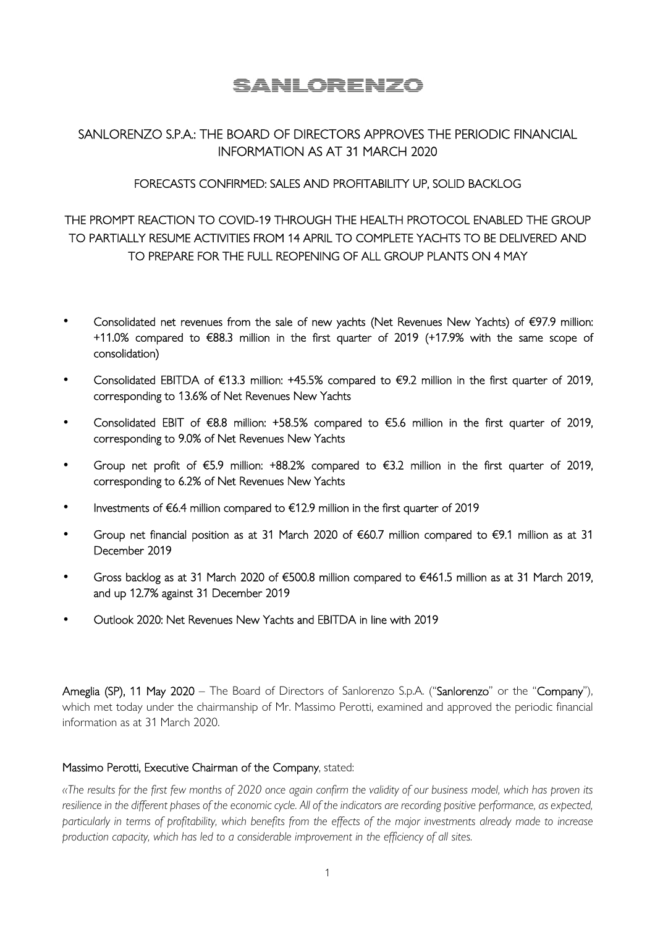# SANLORENZO

# SANLORENZO S.P.A.: THE BOARD OF DIRECTORS APPROVES THE PERIODIC FINANCIAL INFORMATION AS AT 31 MARCH 2020

#### FORECASTS CONFIRMED: SALES AND PROFITABILITY UP, SOLID BACKLOG

# THE PROMPT REACTION TO COVID-19 THROUGH THE HEALTH PROTOCOL ENABLED THE GROUP TO PARTIALLY RESUME ACTIVITIES FROM 14 APRIL TO COMPLETE YACHTS TO BE DELIVERED AND TO PREPARE FOR THE FULL REOPENING OF ALL GROUP PLANTS ON 4 MAY

- Consolidated net revenues from the sale of new yachts (Net Revenues New Yachts) of €97.9 million: +11.0% compared to €88.3 million in the first quarter of 2019 (+17.9% with the same scope of consolidation)
- Consolidated EBITDA of €13.3 million: +45.5% compared to €9.2 million in the first quarter of 2019, corresponding to 13.6% of Net Revenues New Yachts
- Consolidated EBIT of €8.8 million: +58.5% compared to €5.6 million in the first quarter of 2019, corresponding to 9.0% of Net Revenues New Yachts
- Group net profit of €5.9 million: +88.2% compared to €3.2 million in the first quarter of 2019, corresponding to 6.2% of Net Revenues New Yachts
- Investments of €6.4 million compared to €12.9 million in the first quarter of 2019
- Group net financial position as at 31 March 2020 of €60.7 million compared to €9.1 million as at 31 December 2019
- Gross backlog as at 31 March 2020 of €500.8 million compared to €461.5 million as at 31 March 2019, and up 12.7% against 31 December 2019
- Outlook 2020: Net Revenues New Yachts and EBITDA in line with 2019

Ameglia (SP), 11 May 2020 – The Board of Directors of Sanlorenzo S.p.A. ("Sanlorenzo" or the "Company"), which met today under the chairmanship of Mr. Massimo Perotti, examined and approved the periodic financial information as at 31 March 2020.

#### Massimo Perotti, Executive Chairman of the Company, stated:

*«The results for the first few months of 2020 once again confirm the validity of our business model, which has proven its resilience in the different phases of the economic cycle. All of the indicators are recording positive performance, as expected, particularly in terms of profitability, which benefits from the effects of the major investments already made to increase production capacity, which has led to a considerable improvement in the efficiency of all sites.*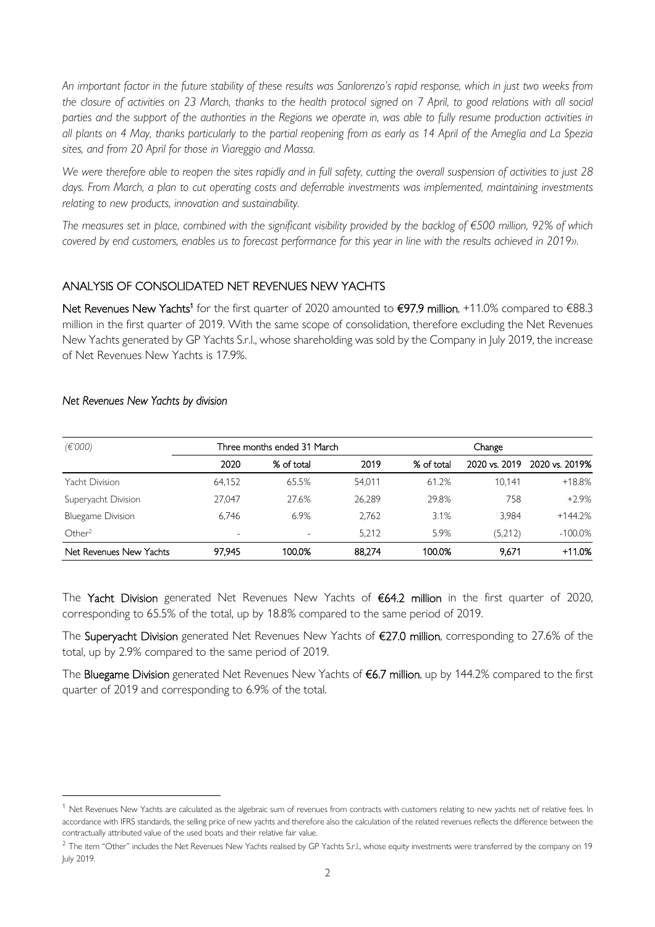*An important factor in the future stability of these results was Sanlorenzo's rapid response, which in just two weeks from the closure of activities on 23 March, thanks to the health protocol signed on 7 April, to good relations with all social parties and the support of the authorities in the Regions we operate in, was able to fully resume production activities in all plants on 4 May, thanks particularly to the partial reopening from as early as 14 April of the Ameglia and La Spezia sites, and from 20 April for those in Viareggio and Massa.* 

*We were therefore able to reopen the sites rapidly and in full safety, cutting the overall suspension of activities to just 28*  days. From March, a plan to cut operating costs and deferrable investments was implemented, maintaining investments *relating to new products, innovation and sustainability.* 

*The measures set in place, combined with the significant visibility provided by the backlog of €500 million, 92% of which covered by end customers, enables us to forecast performance for this year in line with the results achieved in 2019».* 

### ANALYSIS OF CONSOLIDATED NET REVENUES NEW YACHTS

Net Revenues New Yachts<sup>1</sup> for the first quarter of 2020 amounted to €97.9 million, +11.0% compared to €88.3 million in the first quarter of 2019. With the same scope of consolidation, therefore excluding the Net Revenues New Yachts generated by GP Yachts S.r.l., whose shareholding was sold by the Company in July 2019, the increase of Net Revenues New Yachts is 17.9%.

| (E'000)                  | Three months ended 31 March |                          | Change |            |               |                |
|--------------------------|-----------------------------|--------------------------|--------|------------|---------------|----------------|
|                          | 2020                        | % of total               | 2019   | % of total | 2020 vs. 2019 | 2020 vs. 2019% |
| Yacht Division           | 64.152                      | 65.5%                    | 54.011 | 61.2%      | 10.141        | $+18.8%$       |
| Superyacht Division      | 27.047                      | 27.6%                    | 26.289 | 29.8%      | 758           | $+2.9%$        |
| <b>Bluegame Division</b> | 6.746                       | 6.9%                     | 2.762  | 3.1%       | 3.984         | $+144.2%$      |
| Other <sup>2</sup>       | $\overline{\phantom{0}}$    | $\overline{\phantom{a}}$ | 5.212  | 5.9%       | (5,212)       | $-100.0\%$     |
| Net Revenues New Yachts  | 97.945                      | 100.0%                   | 88.274 | 100.0%     | 9.671         | $+11.0%$       |

#### *Net Revenues New Yachts by division*

The Yacht Division generated Net Revenues New Yachts of €64.2 million in the first quarter of 2020, corresponding to 65.5% of the total, up by 18.8% compared to the same period of 2019.

The Superyacht Division generated Net Revenues New Yachts of €27.0 million, corresponding to 27.6% of the total, up by 2.9% compared to the same period of 2019.

The Bluegame Division generated Net Revenues New Yachts of €6.7 million, up by 144.2% compared to the first quarter of 2019 and corresponding to 6.9% of the total.

 $1$  Net Revenues New Yachts are calculated as the algebraic sum of revenues from contracts with customers relating to new yachts net of relative fees. In accordance with IFRS standards, the selling price of new yachts and therefore also the calculation of the related revenues reflects the difference between the contractually attributed value of the used boats and their relative fair value.

 $^2$  The item "Other" includes the Net Revenues New Yachts realised by GP Yachts S.r.l., whose equity investments were transferred by the company on 19 July 2019.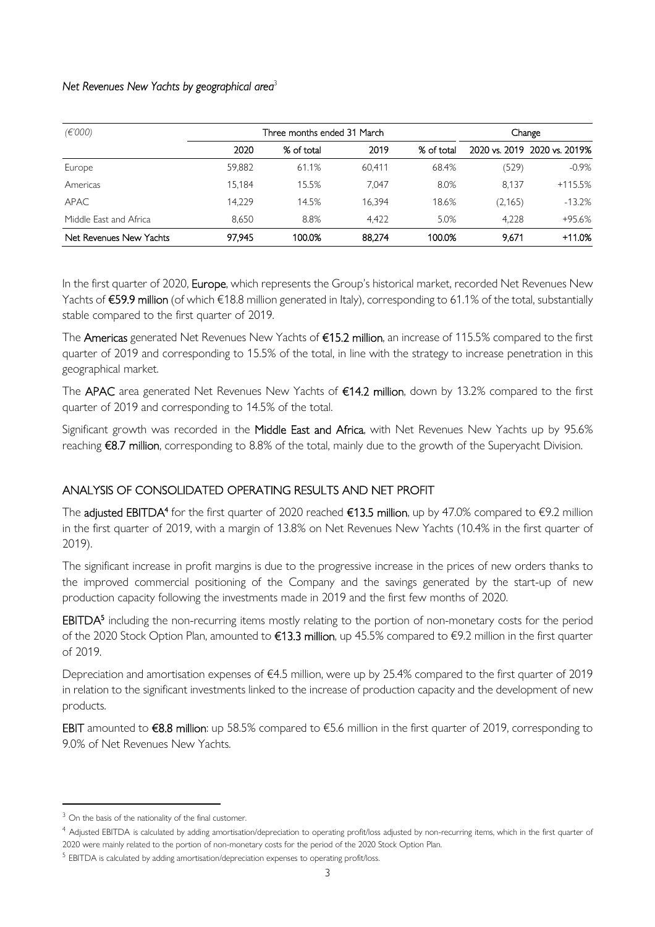#### Net Revenues New Yachts by geographical area<sup>3</sup>

| (E'000)<br>Three months ended 31 March |        |            |        | Change     |         |                              |
|----------------------------------------|--------|------------|--------|------------|---------|------------------------------|
|                                        | 2020   | % of total | 2019   | % of total |         | 2020 vs. 2019 2020 vs. 2019% |
| Europe                                 | 59,882 | 61.1%      | 60.411 | 68.4%      | (529)   | $-0.9\%$                     |
| Americas                               | 15.184 | 15.5%      | 7.047  | 8.0%       | 8.137   | $+115.5%$                    |
| APAC.                                  | 14.229 | 14.5%      | 16.394 | 18.6%      | (2,165) | $-13.2%$                     |
| Middle East and Africa                 | 8.650  | 8.8%       | 4.422  | 5.0%       | 4.228   | +95.6%                       |
| Net Revenues New Yachts                | 97.945 | 100.0%     | 88.274 | 100.0%     | 9.671   | $+11.0%$                     |

In the first quarter of 2020, Europe, which represents the Group's historical market, recorded Net Revenues New Yachts of €59.9 million (of which €18.8 million generated in Italy), corresponding to 61.1% of the total, substantially stable compared to the first quarter of 2019.

The Americas generated Net Revenues New Yachts of €15.2 million, an increase of 115.5% compared to the first quarter of 2019 and corresponding to 15.5% of the total, in line with the strategy to increase penetration in this geographical market.

The APAC area generated Net Revenues New Yachts of €14.2 million, down by 13.2% compared to the first quarter of 2019 and corresponding to 14.5% of the total.

Significant growth was recorded in the Middle East and Africa, with Net Revenues New Yachts up by 95.6% reaching €8.7 million, corresponding to 8.8% of the total, mainly due to the growth of the Superyacht Division.

### ANALYSIS OF CONSOLIDATED OPERATING RESULTS AND NET PROFIT

The **adjusted EBITDA<sup>4</sup> f**or the first quarter of 2020 reached **€13.5 million**, up by 47.0% compared to €9.2 million in the first quarter of 2019, with a margin of 13.8% on Net Revenues New Yachts (10.4% in the first quarter of 2019).

The significant increase in profit margins is due to the progressive increase in the prices of new orders thanks to the improved commercial positioning of the Company and the savings generated by the start-up of new production capacity following the investments made in 2019 and the first few months of 2020.

EBITDA<sup>5</sup> including the non-recurring items mostly relating to the portion of non-monetary costs for the period of the 2020 Stock Option Plan, amounted to €13.3 million, up 45.5% compared to €9.2 million in the first quarter of 2019.

Depreciation and amortisation expenses of €4.5 million, were up by 25.4% compared to the first quarter of 2019 in relation to the significant investments linked to the increase of production capacity and the development of new products.

EBIT amounted to €8.8 million: up 58.5% compared to €5.6 million in the first quarter of 2019, corresponding to 9.0% of Net Revenues New Yachts.

<sup>&</sup>lt;sup>3</sup> On the basis of the nationality of the final customer.

<sup>&</sup>lt;sup>4</sup> Adjusted EBITDA is calculated by adding amortisation/depreciation to operating profit/loss adjusted by non-recurring items, which in the first quarter of 2020 were mainly related to the portion of non-monetary costs for the period of the 2020 Stock Option Plan.

<sup>&</sup>lt;sup>5</sup> EBITDA is calculated by adding amortisation/depreciation expenses to operating profit/loss.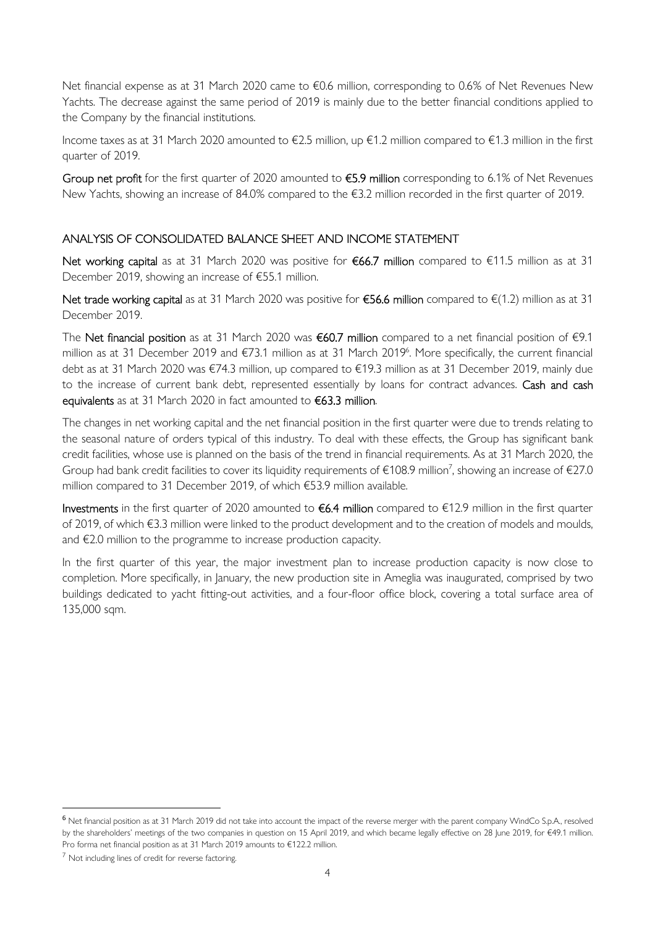Net financial expense as at 31 March 2020 came to €0.6 million, corresponding to 0.6% of Net Revenues New Yachts. The decrease against the same period of 2019 is mainly due to the better financial conditions applied to the Company by the financial institutions.

Income taxes as at 31 March 2020 amounted to €2.5 million, up €1.2 million compared to €1.3 million in the first quarter of 2019.

Group net profit for the first quarter of 2020 amounted to €5.9 million corresponding to 6.1% of Net Revenues New Yachts, showing an increase of 84.0% compared to the €3.2 million recorded in the first quarter of 2019.

## ANALYSIS OF CONSOLIDATED BALANCE SHEET AND INCOME STATEMENT

Net working capital as at 31 March 2020 was positive for €66.7 million compared to €11.5 million as at 31 December 2019, showing an increase of €55.1 million.

Net trade working capital as at 31 March 2020 was positive for €56.6 million compared to  $\epsilon$ (1.2) million as at 31 December 2019.

The Net financial position as at 31 March 2020 was  $\epsilon$ 60.7 million compared to a net financial position of  $\epsilon$ 9.1 million as at 31 December 2019 and €73.1 million as at 31 March 2019<sup>6</sup>. More specifically, the current financial debt as at 31 March 2020 was €74.3 million, up compared to €19.3 million as at 31 December 2019, mainly due to the increase of current bank debt, represented essentially by loans for contract advances. Cash and cash equivalents as at 31 March 2020 in fact amounted to €63.3 million.

The changes in net working capital and the net financial position in the first quarter were due to trends relating to the seasonal nature of orders typical of this industry. To deal with these effects, the Group has significant bank credit facilities, whose use is planned on the basis of the trend in financial requirements. As at 31 March 2020, the Group had bank credit facilities to cover its liquidity requirements of  $\in$ 108.9 million<sup>7</sup>, showing an increase of  $\in$ 27.0 million compared to 31 December 2019, of which €53.9 million available.

Investments in the first quarter of 2020 amounted to  $66.4$  million compared to  $612.9$  million in the first quarter of 2019, of which €3.3 million were linked to the product development and to the creation of models and moulds, and €2.0 million to the programme to increase production capacity.

In the first quarter of this year, the major investment plan to increase production capacity is now close to completion. More specifically, in January, the new production site in Ameglia was inaugurated, comprised by two buildings dedicated to yacht fitting-out activities, and a four-floor office block, covering a total surface area of 135,000 sqm.

<sup>6</sup> Net financial position as at 31 March 2019 did not take into account the impact of the reverse merger with the parent company WindCo S.p.A., resolved by the shareholders' meetings of the two companies in question on 15 April 2019, and which became legally effective on 28 June 2019, for €49.1 million. Pro forma net financial position as at 31 March 2019 amounts to €122.2 million.

 $<sup>7</sup>$  Not including lines of credit for reverse factoring.</sup>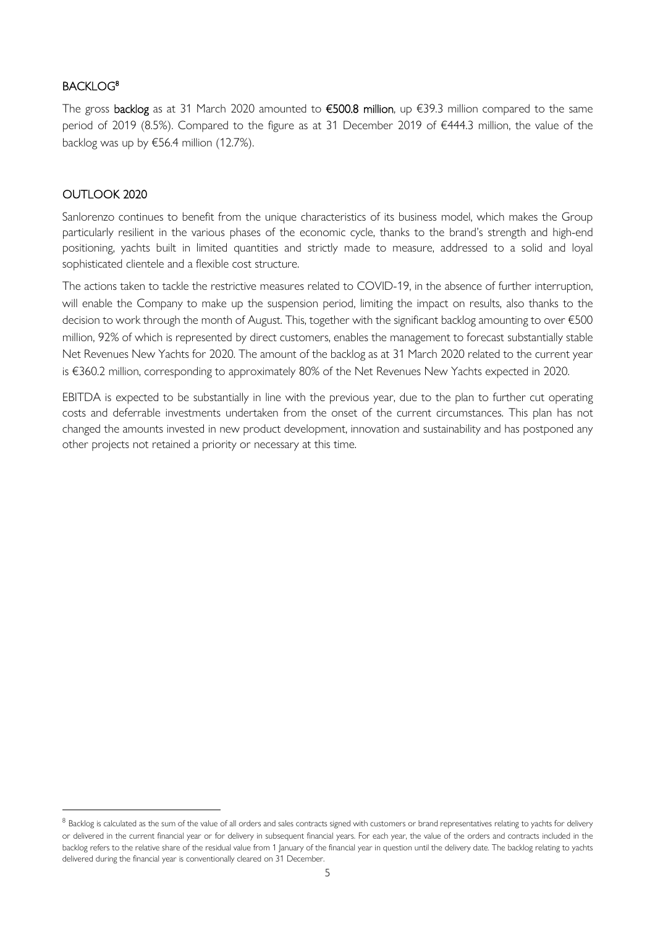### BACKLOG<sup>8</sup>

The gross backlog as at 31 March 2020 amounted to  $\epsilon$ 500.8 million, up  $\epsilon$ 39.3 million compared to the same period of 2019 (8.5%). Compared to the figure as at 31 December 2019 of €444.3 million, the value of the backlog was up by €56.4 million (12.7%).

#### OUTLOOK 2020

Sanlorenzo continues to benefit from the unique characteristics of its business model, which makes the Group particularly resilient in the various phases of the economic cycle, thanks to the brand's strength and high-end positioning, yachts built in limited quantities and strictly made to measure, addressed to a solid and loyal sophisticated clientele and a flexible cost structure.

The actions taken to tackle the restrictive measures related to COVID-19, in the absence of further interruption, will enable the Company to make up the suspension period, limiting the impact on results, also thanks to the decision to work through the month of August. This, together with the significant backlog amounting to over €500 million, 92% of which is represented by direct customers, enables the management to forecast substantially stable Net Revenues New Yachts for 2020. The amount of the backlog as at 31 March 2020 related to the current year is €360.2 million, corresponding to approximately 80% of the Net Revenues New Yachts expected in 2020.

EBITDA is expected to be substantially in line with the previous year, due to the plan to further cut operating costs and deferrable investments undertaken from the onset of the current circumstances. This plan has not changed the amounts invested in new product development, innovation and sustainability and has postponed any other projects not retained a priority or necessary at this time.

 $^8$  Backlog is calculated as the sum of the value of all orders and sales contracts signed with customers or brand representatives relating to yachts for delivery or delivered in the current financial year or for delivery in subsequent financial years. For each year, the value of the orders and contracts included in the backlog refers to the relative share of the residual value from 1 January of the financial year in question until the delivery date. The backlog relating to yachts delivered during the financial year is conventionally cleared on 31 December.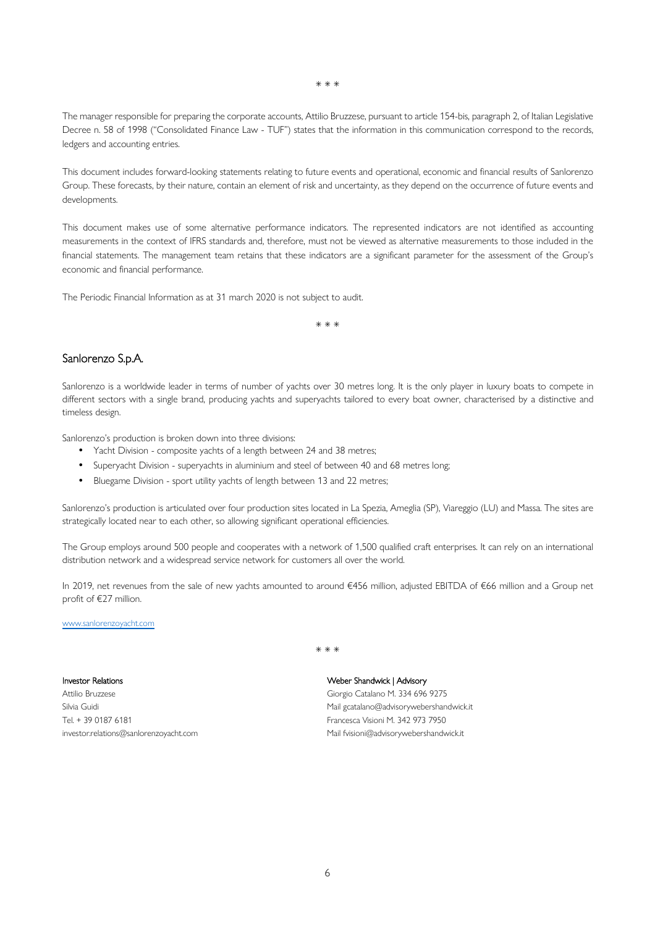\* \* \*

The manager responsible for preparing the corporate accounts, Attilio Bruzzese, pursuant to article 154-bis, paragraph 2, of Italian Legislative Decree n. 58 of 1998 ("Consolidated Finance Law - TUF") states that the information in this communication correspond to the records, ledgers and accounting entries.

This document includes forward-looking statements relating to future events and operational, economic and financial results of Sanlorenzo Group. These forecasts, by their nature, contain an element of risk and uncertainty, as they depend on the occurrence of future events and developments.

This document makes use of some alternative performance indicators. The represented indicators are not identified as accounting measurements in the context of IFRS standards and, therefore, must not be viewed as alternative measurements to those included in the financial statements. The management team retains that these indicators are a significant parameter for the assessment of the Group's economic and financial performance.

The Periodic Financial Information as at 31 march 2020 is not subject to audit.

\* \* \*

#### Sanlorenzo S.p.A.

Sanlorenzo is a worldwide leader in terms of number of yachts over 30 metres long. It is the only player in luxury boats to compete in different sectors with a single brand, producing yachts and superyachts tailored to every boat owner, characterised by a distinctive and timeless design.

Sanlorenzo's production is broken down into three divisions:

- Yacht Division composite yachts of a length between 24 and 38 metres;
- Superyacht Division superyachts in aluminium and steel of between 40 and 68 metres long;
- Bluegame Division sport utility yachts of length between 13 and 22 metres;

Sanlorenzo's production is articulated over four production sites located in La Spezia, Ameglia (SP), Viareggio (LU) and Massa. The sites are strategically located near to each other, so allowing significant operational efficiencies.

The Group employs around 500 people and cooperates with a network of 1,500 qualified craft enterprises. It can rely on an international distribution network and a widespread service network for customers all over the world.

In 2019, net revenues from the sale of new yachts amounted to around €456 million, adjusted EBITDA of €66 million and a Group net profit of €27 million.

#### www.sanlorenzoyacht.com

Investor Relations

Attilio Bruzzese Silvia Guidi Tel. + 39 0187 6181 investor.relations@sanlorenzoyacht.com \* \* \*

#### Weber Shandwick | Advisory

Giorgio Catalano M. 334 696 9275 Mail gcatalano@advisorywebershandwick.it Francesca Visioni M. 342 973 7950 Mail fvisioni@advisorywebershandwick.it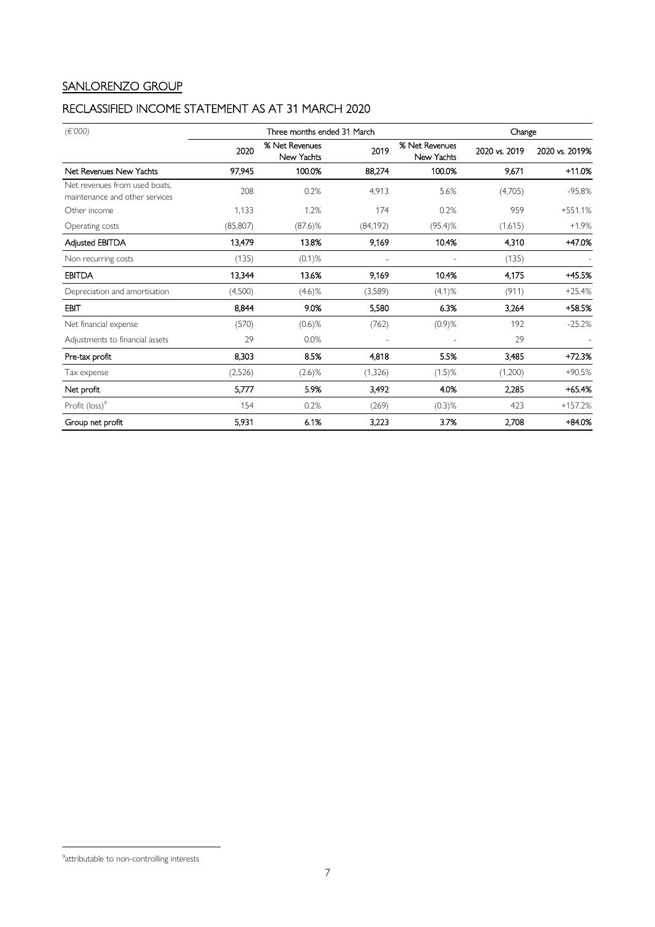# SANLORENZO GROUP

# RECLASSIFIED INCOME STATEMENT AS AT 31 MARCH 2020

| (E'000)                                                         | Three months ended 31 March |                              |           |                              | Change        |                |
|-----------------------------------------------------------------|-----------------------------|------------------------------|-----------|------------------------------|---------------|----------------|
|                                                                 | 2020                        | % Net Revenues<br>New Yachts | 2019      | % Net Revenues<br>New Yachts | 2020 vs. 2019 | 2020 vs. 2019% |
| Net Revenues New Yachts                                         | 97,945                      | 100.0%                       | 88,274    | 100.0%                       | 9.671         | $+11.0%$       |
| Net revenues from used boats,<br>maintenance and other services | 208                         | 0.2%                         | 4,913     | 5.6%                         | (4,705)       | $-95.8%$       |
| Other income                                                    | 1,133                       | 1.2%                         | 174       | 0.2%                         | 959           | $+551.1%$      |
| Operating costs                                                 | (85, 807)                   | $(87.6)$ %                   | (84, 192) | $(95.4)$ %                   | (1,615)       | $+1.9%$        |
| Adjusted EBITDA                                                 | 13,479                      | 13.8%                        | 9,169     | 10.4%                        | 4,310         | +47.0%         |
| Non recurring costs                                             | (135)                       | $(0.1)$ %                    |           |                              | (135)         |                |
| <b>EBITDA</b>                                                   | 13,344                      | 13.6%                        | 9,169     | 10.4%                        | 4,175         | +45.5%         |
| Depreciation and amortisation                                   | (4,500)                     | $(4.6)$ %                    | (3,589)   | (4.1)%                       | (911)         | $+25.4%$       |
| <b>EBIT</b>                                                     | 8,844                       | 9.0%                         | 5,580     | 6.3%                         | 3,264         | +58.5%         |
| Net financial expense                                           | (570)                       | $(0.6)$ %                    | (762)     | $(0.9)$ %                    | 192           | $-25.2%$       |
| Adjustments to financial assets                                 | 29                          | 0.0%                         |           |                              | 29            |                |
| Pre-tax profit                                                  | 8.303                       | 8.5%                         | 4,818     | 5.5%                         | 3,485         | +72.3%         |
| Tax expense                                                     | (2,526)                     | $(2.6)$ %                    | (1, 326)  | $(1.5)$ %                    | (1,200)       | $+90.5%$       |
| Net profit                                                      | 5,777                       | 5.9%                         | 3,492     | 4.0%                         | 2,285         | $+65.4%$       |
| Profit $(\text{loss})^9$                                        | 154                         | 0.2%                         | (269)     | $(0.3)$ %                    | 423           | $+157.2%$      |
| Group net profit                                                | 5,931                       | 6.1%                         | 3,223     | 3.7%                         | 2,708         | $+84.0%$       |

<sup>&</sup>lt;sup>9</sup>attributable to non-controlling interests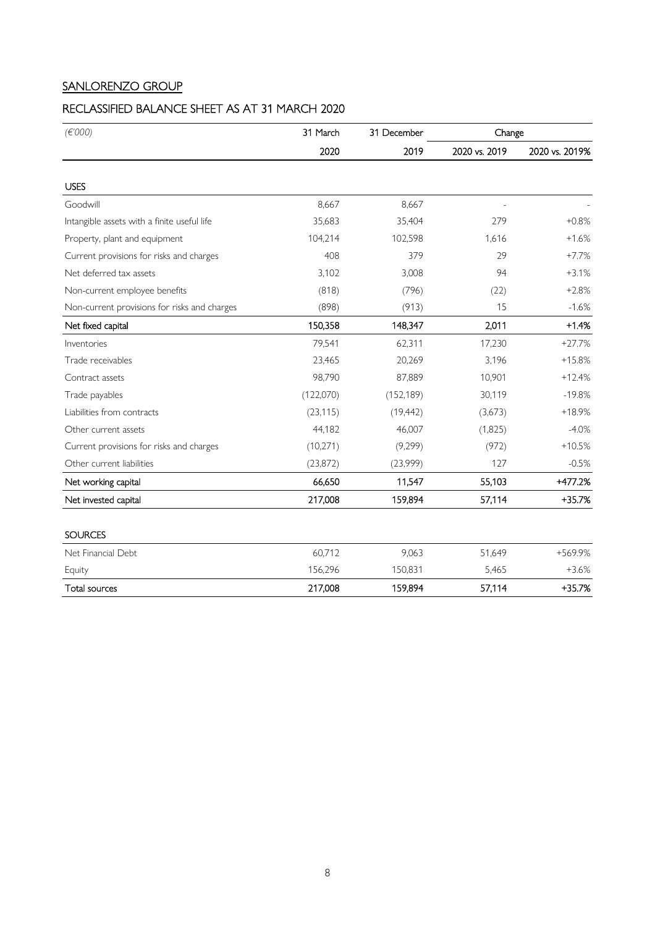# SANLORENZO GROUP

# RECLASSIFIED BALANCE SHEET AS AT 31 MARCH 2020

| (E'000)                                      | 31 March  | 31 December | Change        |                |
|----------------------------------------------|-----------|-------------|---------------|----------------|
|                                              | 2020      | 2019        | 2020 vs. 2019 | 2020 vs. 2019% |
| <b>USES</b>                                  |           |             |               |                |
| Goodwill                                     | 8,667     | 8,667       |               |                |
| Intangible assets with a finite useful life  | 35,683    | 35,404      | 279           | $+0.8%$        |
| Property, plant and equipment                | 104,214   | 102,598     | 1,616         | $+1.6%$        |
| Current provisions for risks and charges     | 408       | 379         | 29            | $+7.7%$        |
| Net deferred tax assets                      | 3,102     | 3,008       | 94            | $+3.1%$        |
| Non-current employee benefits                | (818)     | (796)       | (22)          | $+2.8%$        |
| Non-current provisions for risks and charges | (898)     | (913)       | 15            | $-1.6%$        |
| Net fixed capital                            | 150,358   | 148,347     | 2,011         | $+1.4%$        |
| Inventories                                  | 79,541    | 62,311      | 17,230        | $+27.7%$       |
| Trade receivables                            | 23,465    | 20,269      | 3,196         | $+15.8%$       |
| Contract assets                              | 98,790    | 87,889      | 10,901        | $+12.4%$       |
| Trade payables                               | (122,070) | (152, 189)  | 30,119        | $-19.8%$       |
| Liabilities from contracts                   | (23, 115) | (19, 442)   | (3,673)       | $+18.9%$       |
| Other current assets                         | 44,182    | 46,007      | (1,825)       | $-4.0%$        |
| Current provisions for risks and charges     | (10, 271) | (9,299)     | (972)         | $+10.5%$       |
| Other current liabilities                    | (23, 872) | (23,999)    | 127           | $-0.5%$        |
| Net working capital                          | 66,650    | 11,547      | 55,103        | +477.2%        |
| Net invested capital                         | 217,008   | 159,894     | 57,114        | +35.7%         |
| <b>SOURCES</b>                               |           |             |               |                |
| Net Financial Debt                           | 60,712    | 9,063       | 51,649        | +569.9%        |
| Equity                                       | 156,296   | 150,831     | 5,465         | $+3.6%$        |
| Total sources                                | 217,008   | 159,894     | 57,114        | $+35.7%$       |